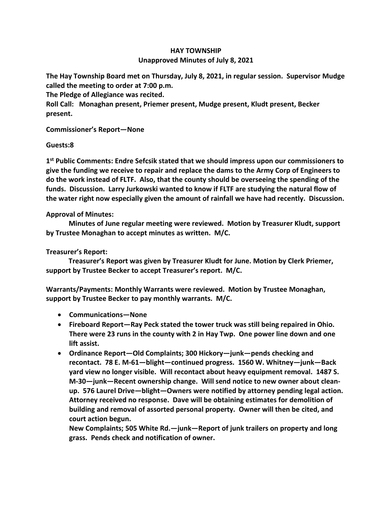## **HAY TOWNSHIP Unapproved Minutes of July 8, 2021**

**The Hay Township Board met on Thursday, July 8, 2021, in regular session. Supervisor Mudge called the meeting to order at 7:00 p.m.** 

**The Pledge of Allegiance was recited.** 

**Roll Call: Monaghan present, Priemer present, Mudge present, Kludt present, Becker present.**

**Commissioner's Report—None**

## **Guests:8**

**1 st Public Comments: Endre Sefcsik stated that we should impress upon our commissioners to give the funding we receive to repair and replace the dams to the Army Corp of Engineers to do the work instead of FLTF. Also, that the county should be overseeing the spending of the funds. Discussion. Larry Jurkowski wanted to know if FLTF are studying the natural flow of the water right now especially given the amount of rainfall we have had recently. Discussion.**

## **Approval of Minutes:**

 **Minutes of June regular meeting were reviewed. Motion by Treasurer Kludt, support by Trustee Monaghan to accept minutes as written. M/C.**

## **Treasurer's Report:**

 **Treasurer's Report was given by Treasurer Kludt for June. Motion by Clerk Priemer, support by Trustee Becker to accept Treasurer's report. M/C.**

**Warrants/Payments: Monthly Warrants were reviewed. Motion by Trustee Monaghan, support by Trustee Becker to pay monthly warrants. M/C.**

- **Communications—None**
- **Fireboard Report—Ray Peck stated the tower truck was still being repaired in Ohio. There were 23 runs in the county with 2 in Hay Twp. One power line down and one lift assist.**
- **Ordinance Report—Old Complaints; 300 Hickory—junk—pends checking and recontact. 78 E. M-61—blight—continued progress. 1560 W. Whitney—junk—Back yard view no longer visible. Will recontact about heavy equipment removal. 1487 S. M-30—junk—Recent ownership change. Will send notice to new owner about cleanup. 576 Laurel Drive—blight—Owners were notified by attorney pending legal action. Attorney received no response. Dave will be obtaining estimates for demolition of building and removal of assorted personal property. Owner will then be cited, and court action begun.**

**New Complaints; 505 White Rd.—junk—Report of junk trailers on property and long grass. Pends check and notification of owner.**